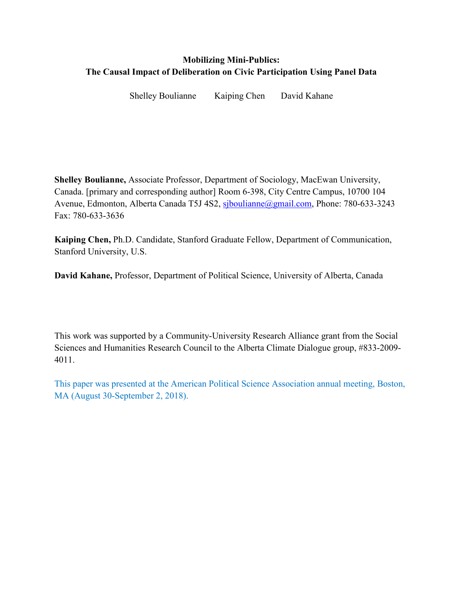# **Mobilizing Mini-Publics: The Causal Impact of Deliberation on Civic Participation Using Panel Data**

Shelley Boulianne Kaiping Chen David Kahane

**Shelley Boulianne,** Associate Professor, Department of Sociology, MacEwan University, Canada. [primary and corresponding author] Room 6-398, City Centre Campus, 10700 104 Avenue, Edmonton, Alberta Canada T5J 4S2, sjboulianne@gmail.com, Phone: 780-633-3243 Fax: 780-633-3636

**Kaiping Chen,** Ph.D. Candidate, Stanford Graduate Fellow, Department of Communication, Stanford University, U.S.

**David Kahane,** Professor, Department of Political Science, University of Alberta, Canada

This work was supported by a Community-University Research Alliance grant from the Social Sciences and Humanities Research Council to the Alberta Climate Dialogue group, #833-2009- 4011.

This paper was presented at the American Political Science Association annual meeting, Boston, MA (August 30-September 2, 2018).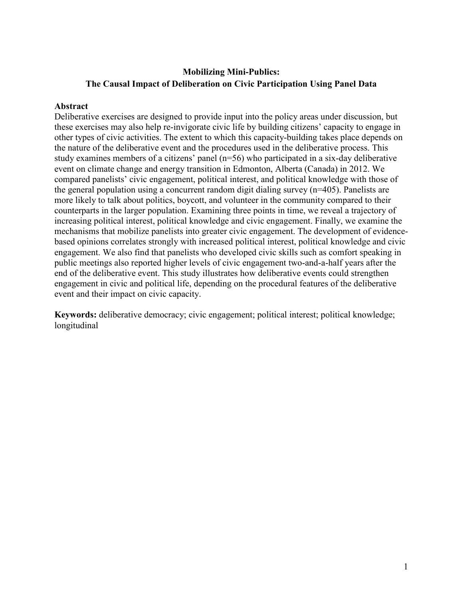# **Mobilizing Mini-Publics: The Causal Impact of Deliberation on Civic Participation Using Panel Data**

## **Abstract**

Deliberative exercises are designed to provide input into the policy areas under discussion, but these exercises may also help re-invigorate civic life by building citizens' capacity to engage in other types of civic activities. The extent to which this capacity-building takes place depends on the nature of the deliberative event and the procedures used in the deliberative process. This study examines members of a citizens' panel (n=56) who participated in a six-day deliberative event on climate change and energy transition in Edmonton, Alberta (Canada) in 2012. We compared panelists' civic engagement, political interest, and political knowledge with those of the general population using a concurrent random digit dialing survey (n=405). Panelists are more likely to talk about politics, boycott, and volunteer in the community compared to their counterparts in the larger population. Examining three points in time, we reveal a trajectory of increasing political interest, political knowledge and civic engagement. Finally, we examine the mechanisms that mobilize panelists into greater civic engagement. The development of evidencebased opinions correlates strongly with increased political interest, political knowledge and civic engagement. We also find that panelists who developed civic skills such as comfort speaking in public meetings also reported higher levels of civic engagement two-and-a-half years after the end of the deliberative event. This study illustrates how deliberative events could strengthen engagement in civic and political life, depending on the procedural features of the deliberative event and their impact on civic capacity.

**Keywords:** deliberative democracy; civic engagement; political interest; political knowledge; longitudinal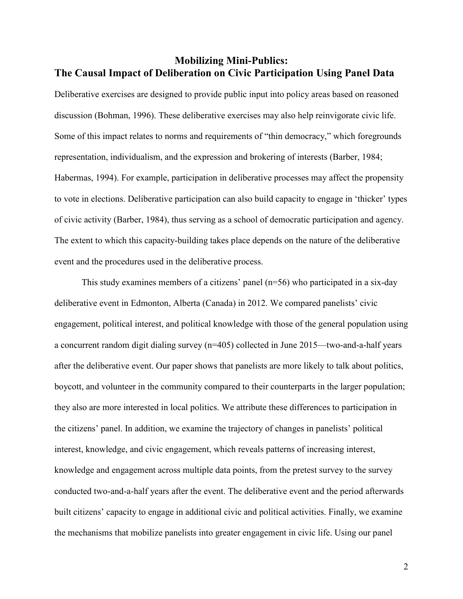# **Mobilizing Mini-Publics: The Causal Impact of Deliberation on Civic Participation Using Panel Data**

Deliberative exercises are designed to provide public input into policy areas based on reasoned discussion (Bohman, 1996). These deliberative exercises may also help reinvigorate civic life. Some of this impact relates to norms and requirements of "thin democracy," which foregrounds representation, individualism, and the expression and brokering of interests (Barber, 1984; Habermas, 1994). For example, participation in deliberative processes may affect the propensity to vote in elections. Deliberative participation can also build capacity to engage in 'thicker' types of civic activity (Barber, 1984), thus serving as a school of democratic participation and agency. The extent to which this capacity-building takes place depends on the nature of the deliberative event and the procedures used in the deliberative process.

 This study examines members of a citizens' panel (n=56) who participated in a six-day deliberative event in Edmonton, Alberta (Canada) in 2012. We compared panelists' civic engagement, political interest, and political knowledge with those of the general population using a concurrent random digit dialing survey (n=405) collected in June 2015—two-and-a-half years after the deliberative event. Our paper shows that panelists are more likely to talk about politics, boycott, and volunteer in the community compared to their counterparts in the larger population; they also are more interested in local politics. We attribute these differences to participation in the citizens' panel. In addition, we examine the trajectory of changes in panelists' political interest, knowledge, and civic engagement, which reveals patterns of increasing interest, knowledge and engagement across multiple data points, from the pretest survey to the survey conducted two-and-a-half years after the event. The deliberative event and the period afterwards built citizens' capacity to engage in additional civic and political activities. Finally, we examine the mechanisms that mobilize panelists into greater engagement in civic life. Using our panel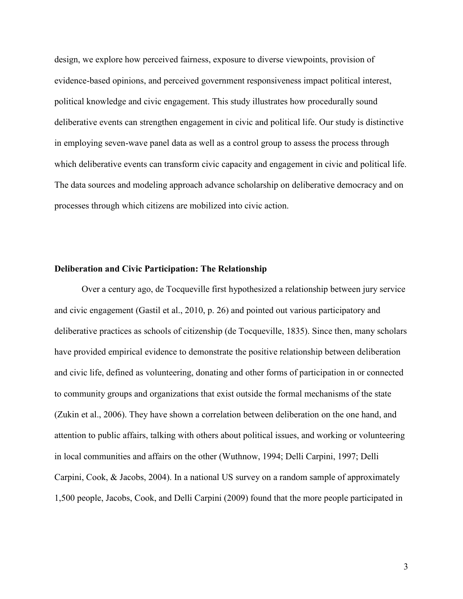design, we explore how perceived fairness, exposure to diverse viewpoints, provision of evidence-based opinions, and perceived government responsiveness impact political interest, political knowledge and civic engagement. This study illustrates how procedurally sound deliberative events can strengthen engagement in civic and political life. Our study is distinctive in employing seven-wave panel data as well as a control group to assess the process through which deliberative events can transform civic capacity and engagement in civic and political life. The data sources and modeling approach advance scholarship on deliberative democracy and on processes through which citizens are mobilized into civic action.

#### **Deliberation and Civic Participation: The Relationship**

Over a century ago, de Tocqueville first hypothesized a relationship between jury service and civic engagement (Gastil et al., 2010, p. 26) and pointed out various participatory and deliberative practices as schools of citizenship (de Tocqueville, 1835). Since then, many scholars have provided empirical evidence to demonstrate the positive relationship between deliberation and civic life, defined as volunteering, donating and other forms of participation in or connected to community groups and organizations that exist outside the formal mechanisms of the state (Zukin et al., 2006). They have shown a correlation between deliberation on the one hand, and attention to public affairs, talking with others about political issues, and working or volunteering in local communities and affairs on the other (Wuthnow, 1994; Delli Carpini, 1997; Delli Carpini, Cook, & Jacobs, 2004). In a national US survey on a random sample of approximately 1,500 people, Jacobs, Cook, and Delli Carpini (2009) found that the more people participated in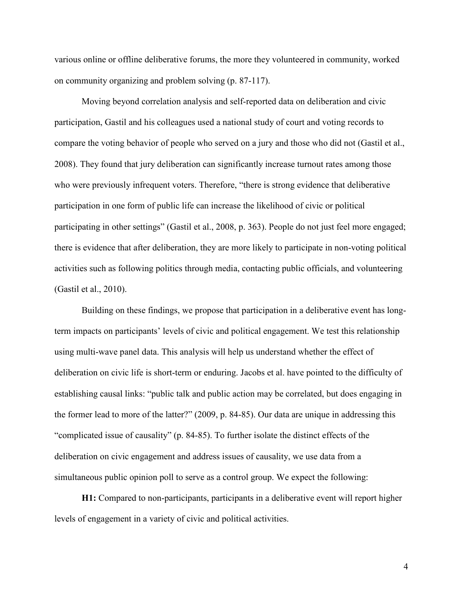various online or offline deliberative forums, the more they volunteered in community, worked on community organizing and problem solving (p. 87-117).

Moving beyond correlation analysis and self-reported data on deliberation and civic participation, Gastil and his colleagues used a national study of court and voting records to compare the voting behavior of people who served on a jury and those who did not (Gastil et al., 2008). They found that jury deliberation can significantly increase turnout rates among those who were previously infrequent voters. Therefore, "there is strong evidence that deliberative participation in one form of public life can increase the likelihood of civic or political participating in other settings" (Gastil et al., 2008, p. 363). People do not just feel more engaged; there is evidence that after deliberation, they are more likely to participate in non-voting political activities such as following politics through media, contacting public officials, and volunteering (Gastil et al., 2010).

Building on these findings, we propose that participation in a deliberative event has longterm impacts on participants' levels of civic and political engagement. We test this relationship using multi-wave panel data. This analysis will help us understand whether the effect of deliberation on civic life is short-term or enduring. Jacobs et al. have pointed to the difficulty of establishing causal links: "public talk and public action may be correlated, but does engaging in the former lead to more of the latter?" (2009, p. 84-85). Our data are unique in addressing this "complicated issue of causality" (p. 84-85). To further isolate the distinct effects of the deliberation on civic engagement and address issues of causality, we use data from a simultaneous public opinion poll to serve as a control group. We expect the following:

**H1:** Compared to non-participants, participants in a deliberative event will report higher levels of engagement in a variety of civic and political activities.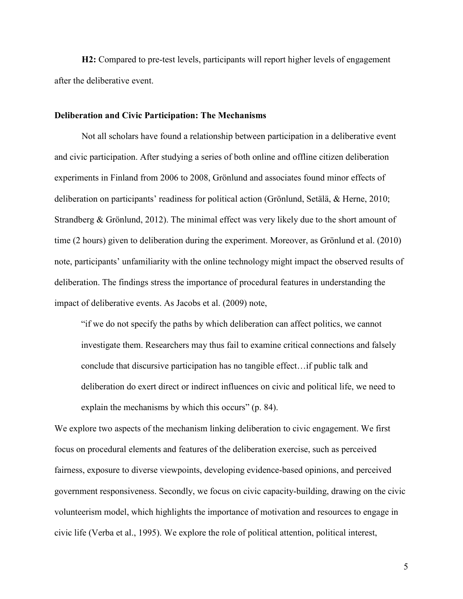**H2:** Compared to pre-test levels, participants will report higher levels of engagement after the deliberative event.

#### **Deliberation and Civic Participation: The Mechanisms**

Not all scholars have found a relationship between participation in a deliberative event and civic participation. After studying a series of both online and offline citizen deliberation experiments in Finland from 2006 to 2008, Grönlund and associates found minor effects of deliberation on participants' readiness for political action (Grönlund, Setälä, & Herne, 2010; Strandberg & Grönlund, 2012). The minimal effect was very likely due to the short amount of time (2 hours) given to deliberation during the experiment. Moreover, as Grönlund et al. (2010) note, participants' unfamiliarity with the online technology might impact the observed results of deliberation. The findings stress the importance of procedural features in understanding the impact of deliberative events. As Jacobs et al. (2009) note,

"if we do not specify the paths by which deliberation can affect politics, we cannot investigate them. Researchers may thus fail to examine critical connections and falsely conclude that discursive participation has no tangible effect…if public talk and deliberation do exert direct or indirect influences on civic and political life, we need to explain the mechanisms by which this occurs" (p. 84).

We explore two aspects of the mechanism linking deliberation to civic engagement. We first focus on procedural elements and features of the deliberation exercise, such as perceived fairness, exposure to diverse viewpoints, developing evidence-based opinions, and perceived government responsiveness. Secondly, we focus on civic capacity-building, drawing on the civic volunteerism model, which highlights the importance of motivation and resources to engage in civic life (Verba et al., 1995). We explore the role of political attention, political interest,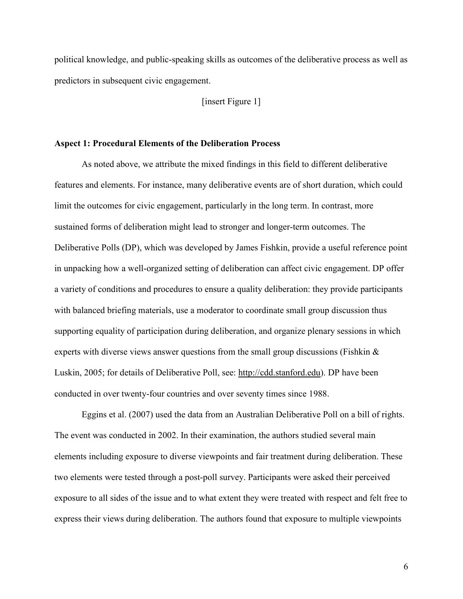political knowledge, and public-speaking skills as outcomes of the deliberative process as well as predictors in subsequent civic engagement.

[insert Figure 1]

#### **Aspect 1: Procedural Elements of the Deliberation Process**

As noted above, we attribute the mixed findings in this field to different deliberative features and elements. For instance, many deliberative events are of short duration, which could limit the outcomes for civic engagement, particularly in the long term. In contrast, more sustained forms of deliberation might lead to stronger and longer-term outcomes. The Deliberative Polls (DP), which was developed by James Fishkin, provide a useful reference point in unpacking how a well-organized setting of deliberation can affect civic engagement. DP offer a variety of conditions and procedures to ensure a quality deliberation: they provide participants with balanced briefing materials, use a moderator to coordinate small group discussion thus supporting equality of participation during deliberation, and organize plenary sessions in which experts with diverse views answer questions from the small group discussions (Fishkin  $\&$ Luskin, 2005; for details of Deliberative Poll, see: http://cdd.stanford.edu). DP have been conducted in over twenty-four countries and over seventy times since 1988.

Eggins et al. (2007) used the data from an Australian Deliberative Poll on a bill of rights. The event was conducted in 2002. In their examination, the authors studied several main elements including exposure to diverse viewpoints and fair treatment during deliberation. These two elements were tested through a post-poll survey. Participants were asked their perceived exposure to all sides of the issue and to what extent they were treated with respect and felt free to express their views during deliberation. The authors found that exposure to multiple viewpoints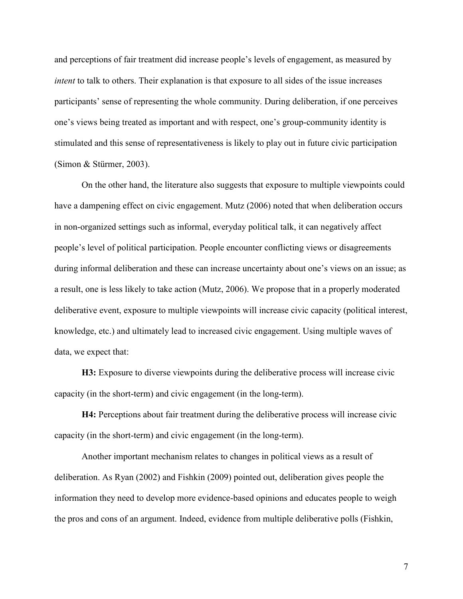and perceptions of fair treatment did increase people's levels of engagement, as measured by *intent* to talk to others. Their explanation is that exposure to all sides of the issue increases participants' sense of representing the whole community. During deliberation, if one perceives one's views being treated as important and with respect, one's group-community identity is stimulated and this sense of representativeness is likely to play out in future civic participation (Simon & Stürmer, 2003).

On the other hand, the literature also suggests that exposure to multiple viewpoints could have a dampening effect on civic engagement. Mutz (2006) noted that when deliberation occurs in non-organized settings such as informal, everyday political talk, it can negatively affect people's level of political participation. People encounter conflicting views or disagreements during informal deliberation and these can increase uncertainty about one's views on an issue; as a result, one is less likely to take action (Mutz, 2006). We propose that in a properly moderated deliberative event, exposure to multiple viewpoints will increase civic capacity (political interest, knowledge, etc.) and ultimately lead to increased civic engagement. Using multiple waves of data, we expect that:

**H3:** Exposure to diverse viewpoints during the deliberative process will increase civic capacity (in the short-term) and civic engagement (in the long-term).

**H4:** Perceptions about fair treatment during the deliberative process will increase civic capacity (in the short-term) and civic engagement (in the long-term).

Another important mechanism relates to changes in political views as a result of deliberation. As Ryan (2002) and Fishkin (2009) pointed out, deliberation gives people the information they need to develop more evidence-based opinions and educates people to weigh the pros and cons of an argument. Indeed, evidence from multiple deliberative polls (Fishkin,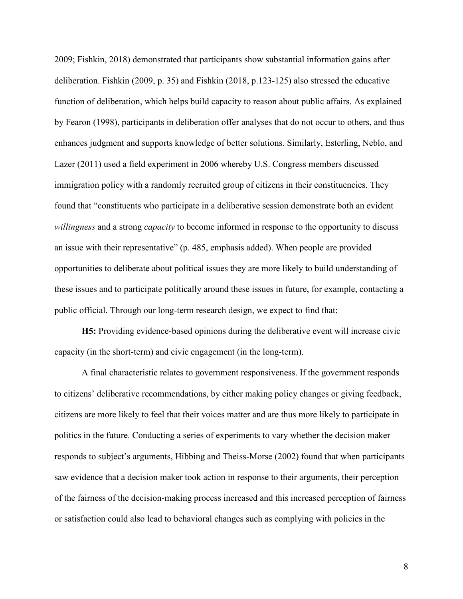2009; Fishkin, 2018) demonstrated that participants show substantial information gains after deliberation. Fishkin (2009, p. 35) and Fishkin (2018, p.123-125) also stressed the educative function of deliberation, which helps build capacity to reason about public affairs. As explained by Fearon (1998), participants in deliberation offer analyses that do not occur to others, and thus enhances judgment and supports knowledge of better solutions. Similarly, Esterling, Neblo, and Lazer (2011) used a field experiment in 2006 whereby U.S. Congress members discussed immigration policy with a randomly recruited group of citizens in their constituencies. They found that "constituents who participate in a deliberative session demonstrate both an evident *willingness* and a strong *capacity* to become informed in response to the opportunity to discuss an issue with their representative" (p. 485, emphasis added). When people are provided opportunities to deliberate about political issues they are more likely to build understanding of these issues and to participate politically around these issues in future, for example, contacting a public official. Through our long-term research design, we expect to find that:

**H5:** Providing evidence-based opinions during the deliberative event will increase civic capacity (in the short-term) and civic engagement (in the long-term).

A final characteristic relates to government responsiveness. If the government responds to citizens' deliberative recommendations, by either making policy changes or giving feedback, citizens are more likely to feel that their voices matter and are thus more likely to participate in politics in the future. Conducting a series of experiments to vary whether the decision maker responds to subject's arguments, Hibbing and Theiss-Morse (2002) found that when participants saw evidence that a decision maker took action in response to their arguments, their perception of the fairness of the decision-making process increased and this increased perception of fairness or satisfaction could also lead to behavioral changes such as complying with policies in the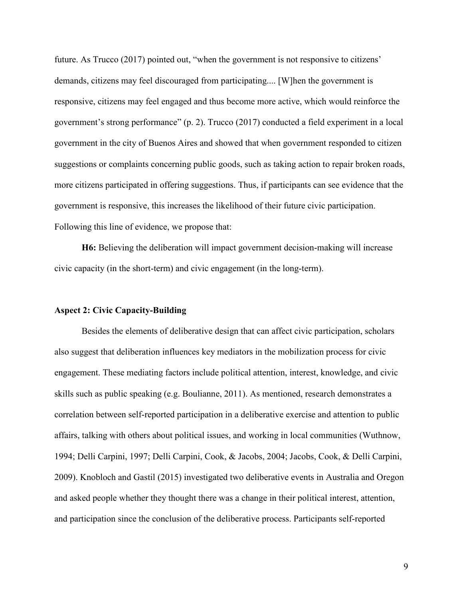future. As Trucco (2017) pointed out, "when the government is not responsive to citizens' demands, citizens may feel discouraged from participating.... [W]hen the government is responsive, citizens may feel engaged and thus become more active, which would reinforce the government's strong performance" (p. 2). Trucco (2017) conducted a field experiment in a local government in the city of Buenos Aires and showed that when government responded to citizen suggestions or complaints concerning public goods, such as taking action to repair broken roads, more citizens participated in offering suggestions. Thus, if participants can see evidence that the government is responsive, this increases the likelihood of their future civic participation. Following this line of evidence, we propose that:

**H6:** Believing the deliberation will impact government decision-making will increase civic capacity (in the short-term) and civic engagement (in the long-term).

#### **Aspect 2: Civic Capacity-Building**

Besides the elements of deliberative design that can affect civic participation, scholars also suggest that deliberation influences key mediators in the mobilization process for civic engagement. These mediating factors include political attention, interest, knowledge, and civic skills such as public speaking (e.g. Boulianne, 2011). As mentioned, research demonstrates a correlation between self-reported participation in a deliberative exercise and attention to public affairs, talking with others about political issues, and working in local communities (Wuthnow, 1994; Delli Carpini, 1997; Delli Carpini, Cook, & Jacobs, 2004; Jacobs, Cook, & Delli Carpini, 2009). Knobloch and Gastil (2015) investigated two deliberative events in Australia and Oregon and asked people whether they thought there was a change in their political interest, attention, and participation since the conclusion of the deliberative process. Participants self-reported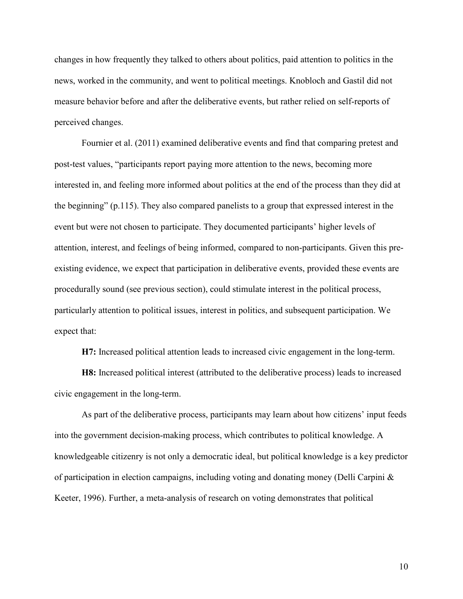changes in how frequently they talked to others about politics, paid attention to politics in the news, worked in the community, and went to political meetings. Knobloch and Gastil did not measure behavior before and after the deliberative events, but rather relied on self-reports of perceived changes.

Fournier et al. (2011) examined deliberative events and find that comparing pretest and post-test values, "participants report paying more attention to the news, becoming more interested in, and feeling more informed about politics at the end of the process than they did at the beginning" (p.115). They also compared panelists to a group that expressed interest in the event but were not chosen to participate. They documented participants' higher levels of attention, interest, and feelings of being informed, compared to non-participants. Given this preexisting evidence, we expect that participation in deliberative events, provided these events are procedurally sound (see previous section), could stimulate interest in the political process, particularly attention to political issues, interest in politics, and subsequent participation. We expect that:

**H7:** Increased political attention leads to increased civic engagement in the long-term.

**H8:** Increased political interest (attributed to the deliberative process) leads to increased civic engagement in the long-term.

As part of the deliberative process, participants may learn about how citizens' input feeds into the government decision-making process, which contributes to political knowledge. A knowledgeable citizenry is not only a democratic ideal, but political knowledge is a key predictor of participation in election campaigns, including voting and donating money (Delli Carpini & Keeter, 1996). Further, a meta-analysis of research on voting demonstrates that political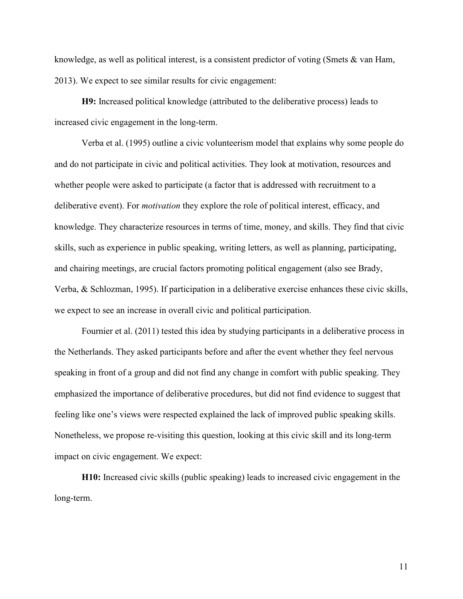knowledge, as well as political interest, is a consistent predictor of voting (Smets & van Ham, 2013). We expect to see similar results for civic engagement:

**H9:** Increased political knowledge (attributed to the deliberative process) leads to increased civic engagement in the long-term.

Verba et al. (1995) outline a civic volunteerism model that explains why some people do and do not participate in civic and political activities. They look at motivation, resources and whether people were asked to participate (a factor that is addressed with recruitment to a deliberative event). For *motivation* they explore the role of political interest, efficacy, and knowledge. They characterize resources in terms of time, money, and skills. They find that civic skills, such as experience in public speaking, writing letters, as well as planning, participating, and chairing meetings, are crucial factors promoting political engagement (also see Brady, Verba, & Schlozman, 1995). If participation in a deliberative exercise enhances these civic skills, we expect to see an increase in overall civic and political participation.

Fournier et al. (2011) tested this idea by studying participants in a deliberative process in the Netherlands. They asked participants before and after the event whether they feel nervous speaking in front of a group and did not find any change in comfort with public speaking. They emphasized the importance of deliberative procedures, but did not find evidence to suggest that feeling like one's views were respected explained the lack of improved public speaking skills. Nonetheless, we propose re-visiting this question, looking at this civic skill and its long-term impact on civic engagement. We expect:

**H10:** Increased civic skills (public speaking) leads to increased civic engagement in the long-term.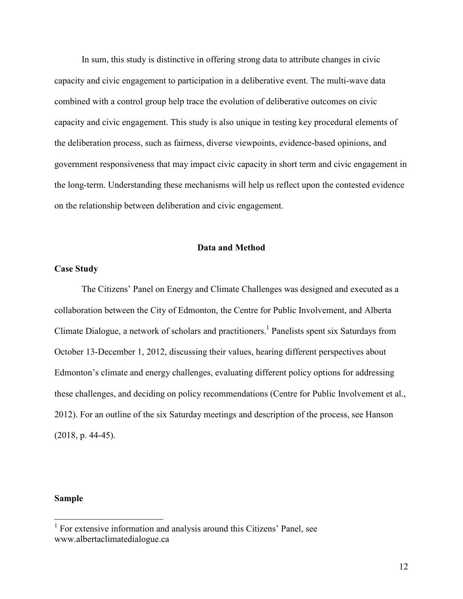In sum, this study is distinctive in offering strong data to attribute changes in civic capacity and civic engagement to participation in a deliberative event. The multi-wave data combined with a control group help trace the evolution of deliberative outcomes on civic capacity and civic engagement. This study is also unique in testing key procedural elements of the deliberation process, such as fairness, diverse viewpoints, evidence-based opinions, and government responsiveness that may impact civic capacity in short term and civic engagement in the long-term. Understanding these mechanisms will help us reflect upon the contested evidence on the relationship between deliberation and civic engagement.

#### **Data and Method**

## **Case Study**

The Citizens' Panel on Energy and Climate Challenges was designed and executed as a collaboration between the City of Edmonton, the Centre for Public Involvement, and Alberta Climate Dialogue, a network of scholars and practitioners.<sup>1</sup> Panelists spent six Saturdays from October 13-December 1, 2012, discussing their values, hearing different perspectives about Edmonton's climate and energy challenges, evaluating different policy options for addressing these challenges, and deciding on policy recommendations (Centre for Public Involvement et al., 2012). For an outline of the six Saturday meetings and description of the process, see Hanson (2018, p. 44-45).

## **Sample**

<sup>&</sup>lt;sup>1</sup> For extensive information and analysis around this Citizens' Panel, see www.albertaclimatedialogue.ca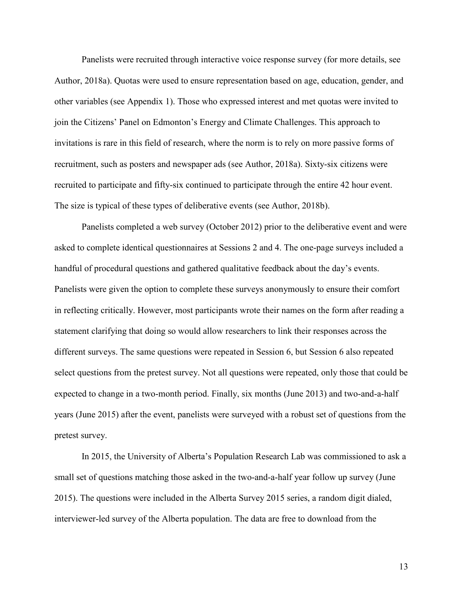Panelists were recruited through interactive voice response survey (for more details, see Author, 2018a). Quotas were used to ensure representation based on age, education, gender, and other variables (see Appendix 1). Those who expressed interest and met quotas were invited to join the Citizens' Panel on Edmonton's Energy and Climate Challenges. This approach to invitations is rare in this field of research, where the norm is to rely on more passive forms of recruitment, such as posters and newspaper ads (see Author, 2018a). Sixty-six citizens were recruited to participate and fifty-six continued to participate through the entire 42 hour event. The size is typical of these types of deliberative events (see Author, 2018b).

 Panelists completed a web survey (October 2012) prior to the deliberative event and were asked to complete identical questionnaires at Sessions 2 and 4. The one-page surveys included a handful of procedural questions and gathered qualitative feedback about the day's events. Panelists were given the option to complete these surveys anonymously to ensure their comfort in reflecting critically. However, most participants wrote their names on the form after reading a statement clarifying that doing so would allow researchers to link their responses across the different surveys. The same questions were repeated in Session 6, but Session 6 also repeated select questions from the pretest survey. Not all questions were repeated, only those that could be expected to change in a two-month period. Finally, six months (June 2013) and two-and-a-half years (June 2015) after the event, panelists were surveyed with a robust set of questions from the pretest survey.

In 2015, the University of Alberta's Population Research Lab was commissioned to ask a small set of questions matching those asked in the two-and-a-half year follow up survey (June 2015). The questions were included in the Alberta Survey 2015 series, a random digit dialed, interviewer-led survey of the Alberta population. The data are free to download from the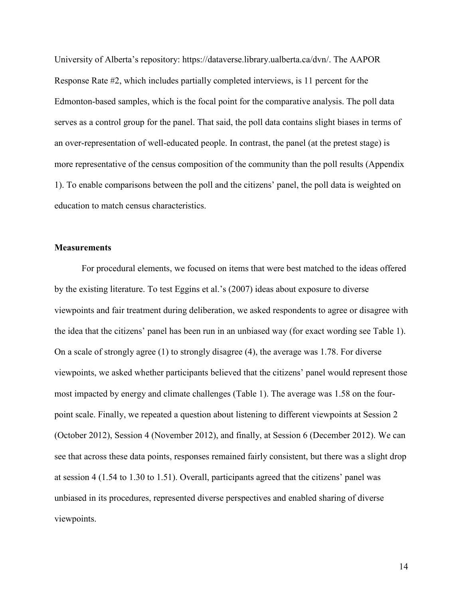University of Alberta's repository: https://dataverse.library.ualberta.ca/dvn/. The AAPOR Response Rate #2, which includes partially completed interviews, is 11 percent for the Edmonton-based samples, which is the focal point for the comparative analysis. The poll data serves as a control group for the panel. That said, the poll data contains slight biases in terms of an over-representation of well-educated people. In contrast, the panel (at the pretest stage) is more representative of the census composition of the community than the poll results (Appendix 1). To enable comparisons between the poll and the citizens' panel, the poll data is weighted on education to match census characteristics.

## **Measurements**

For procedural elements, we focused on items that were best matched to the ideas offered by the existing literature. To test Eggins et al.'s (2007) ideas about exposure to diverse viewpoints and fair treatment during deliberation, we asked respondents to agree or disagree with the idea that the citizens' panel has been run in an unbiased way (for exact wording see Table 1). On a scale of strongly agree (1) to strongly disagree (4), the average was 1.78. For diverse viewpoints, we asked whether participants believed that the citizens' panel would represent those most impacted by energy and climate challenges (Table 1). The average was 1.58 on the fourpoint scale. Finally, we repeated a question about listening to different viewpoints at Session 2 (October 2012), Session 4 (November 2012), and finally, at Session 6 (December 2012). We can see that across these data points, responses remained fairly consistent, but there was a slight drop at session 4 (1.54 to 1.30 to 1.51). Overall, participants agreed that the citizens' panel was unbiased in its procedures, represented diverse perspectives and enabled sharing of diverse viewpoints.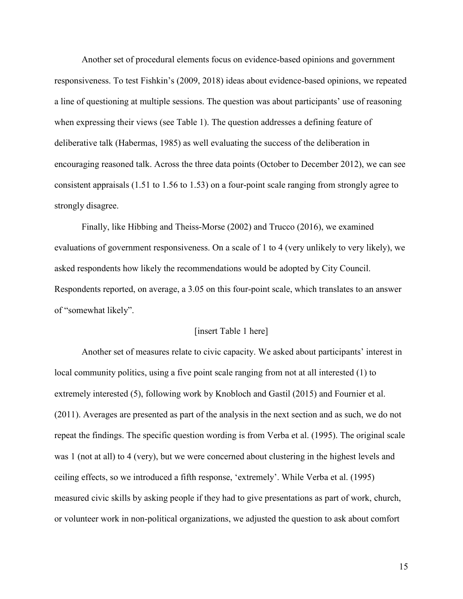Another set of procedural elements focus on evidence-based opinions and government responsiveness. To test Fishkin's (2009, 2018) ideas about evidence-based opinions, we repeated a line of questioning at multiple sessions. The question was about participants' use of reasoning when expressing their views (see Table 1). The question addresses a defining feature of deliberative talk (Habermas, 1985) as well evaluating the success of the deliberation in encouraging reasoned talk. Across the three data points (October to December 2012), we can see consistent appraisals (1.51 to 1.56 to 1.53) on a four-point scale ranging from strongly agree to strongly disagree.

Finally, like Hibbing and Theiss-Morse (2002) and Trucco (2016), we examined evaluations of government responsiveness. On a scale of 1 to 4 (very unlikely to very likely), we asked respondents how likely the recommendations would be adopted by City Council. Respondents reported, on average, a 3.05 on this four-point scale, which translates to an answer of "somewhat likely".

## [insert Table 1 here]

Another set of measures relate to civic capacity. We asked about participants' interest in local community politics, using a five point scale ranging from not at all interested (1) to extremely interested (5), following work by Knobloch and Gastil (2015) and Fournier et al. (2011). Averages are presented as part of the analysis in the next section and as such, we do not repeat the findings. The specific question wording is from Verba et al. (1995). The original scale was 1 (not at all) to 4 (very), but we were concerned about clustering in the highest levels and ceiling effects, so we introduced a fifth response, 'extremely'. While Verba et al. (1995) measured civic skills by asking people if they had to give presentations as part of work, church, or volunteer work in non-political organizations, we adjusted the question to ask about comfort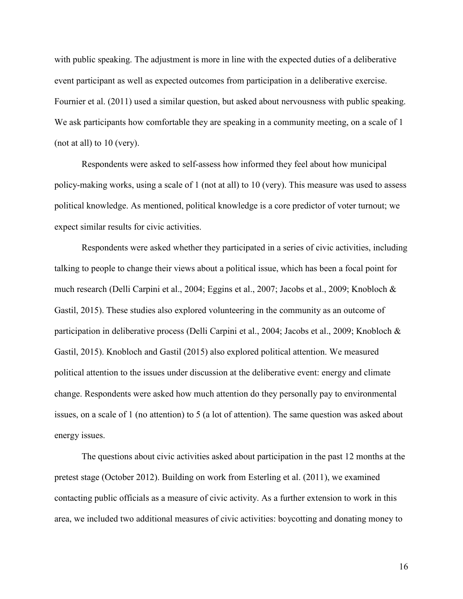with public speaking. The adjustment is more in line with the expected duties of a deliberative event participant as well as expected outcomes from participation in a deliberative exercise. Fournier et al. (2011) used a similar question, but asked about nervousness with public speaking. We ask participants how comfortable they are speaking in a community meeting, on a scale of 1 (not at all) to 10 (very).

Respondents were asked to self-assess how informed they feel about how municipal policy-making works, using a scale of 1 (not at all) to 10 (very). This measure was used to assess political knowledge. As mentioned, political knowledge is a core predictor of voter turnout; we expect similar results for civic activities.

Respondents were asked whether they participated in a series of civic activities, including talking to people to change their views about a political issue, which has been a focal point for much research (Delli Carpini et al., 2004; Eggins et al., 2007; Jacobs et al., 2009; Knobloch & Gastil, 2015). These studies also explored volunteering in the community as an outcome of participation in deliberative process (Delli Carpini et al., 2004; Jacobs et al., 2009; Knobloch & Gastil, 2015). Knobloch and Gastil (2015) also explored political attention. We measured political attention to the issues under discussion at the deliberative event: energy and climate change. Respondents were asked how much attention do they personally pay to environmental issues, on a scale of 1 (no attention) to 5 (a lot of attention). The same question was asked about energy issues.

The questions about civic activities asked about participation in the past 12 months at the pretest stage (October 2012). Building on work from Esterling et al. (2011), we examined contacting public officials as a measure of civic activity. As a further extension to work in this area, we included two additional measures of civic activities: boycotting and donating money to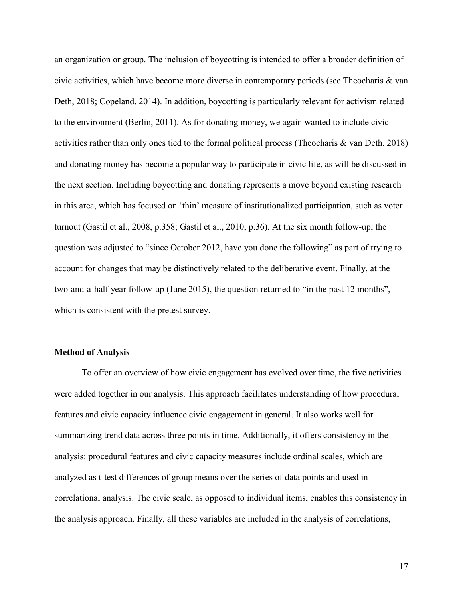an organization or group. The inclusion of boycotting is intended to offer a broader definition of civic activities, which have become more diverse in contemporary periods (see Theocharis  $\&$  van Deth, 2018; Copeland, 2014). In addition, boycotting is particularly relevant for activism related to the environment (Berlin, 2011). As for donating money, we again wanted to include civic activities rather than only ones tied to the formal political process (Theocharis & van Deth, 2018) and donating money has become a popular way to participate in civic life, as will be discussed in the next section. Including boycotting and donating represents a move beyond existing research in this area, which has focused on 'thin' measure of institutionalized participation, such as voter turnout (Gastil et al., 2008, p.358; Gastil et al., 2010, p.36). At the six month follow-up, the question was adjusted to "since October 2012, have you done the following" as part of trying to account for changes that may be distinctively related to the deliberative event. Finally, at the two-and-a-half year follow-up (June 2015), the question returned to "in the past 12 months", which is consistent with the pretest survey.

## **Method of Analysis**

To offer an overview of how civic engagement has evolved over time, the five activities were added together in our analysis. This approach facilitates understanding of how procedural features and civic capacity influence civic engagement in general. It also works well for summarizing trend data across three points in time. Additionally, it offers consistency in the analysis: procedural features and civic capacity measures include ordinal scales, which are analyzed as t-test differences of group means over the series of data points and used in correlational analysis. The civic scale, as opposed to individual items, enables this consistency in the analysis approach. Finally, all these variables are included in the analysis of correlations,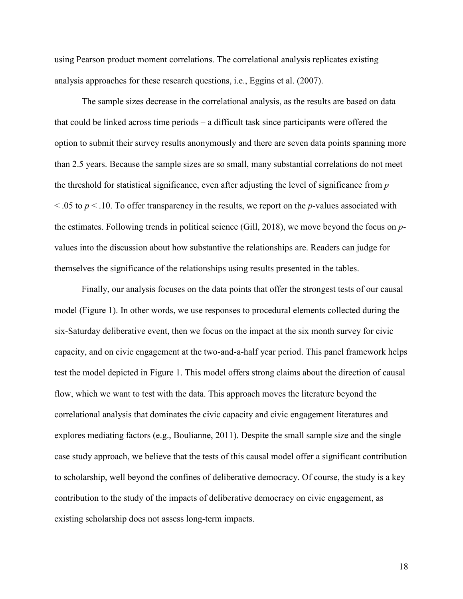using Pearson product moment correlations. The correlational analysis replicates existing analysis approaches for these research questions, i.e., Eggins et al. (2007).

The sample sizes decrease in the correlational analysis, as the results are based on data that could be linked across time periods – a difficult task since participants were offered the option to submit their survey results anonymously and there are seven data points spanning more than 2.5 years. Because the sample sizes are so small, many substantial correlations do not meet the threshold for statistical significance, even after adjusting the level of significance from *p*  $\leq$  .05 to  $p \leq$  .10. To offer transparency in the results, we report on the *p*-values associated with the estimates. Following trends in political science (Gill, 2018), we move beyond the focus on *p*values into the discussion about how substantive the relationships are. Readers can judge for themselves the significance of the relationships using results presented in the tables.

Finally, our analysis focuses on the data points that offer the strongest tests of our causal model (Figure 1). In other words, we use responses to procedural elements collected during the six-Saturday deliberative event, then we focus on the impact at the six month survey for civic capacity, and on civic engagement at the two-and-a-half year period. This panel framework helps test the model depicted in Figure 1. This model offers strong claims about the direction of causal flow, which we want to test with the data. This approach moves the literature beyond the correlational analysis that dominates the civic capacity and civic engagement literatures and explores mediating factors (e.g., Boulianne, 2011). Despite the small sample size and the single case study approach, we believe that the tests of this causal model offer a significant contribution to scholarship, well beyond the confines of deliberative democracy. Of course, the study is a key contribution to the study of the impacts of deliberative democracy on civic engagement, as existing scholarship does not assess long-term impacts.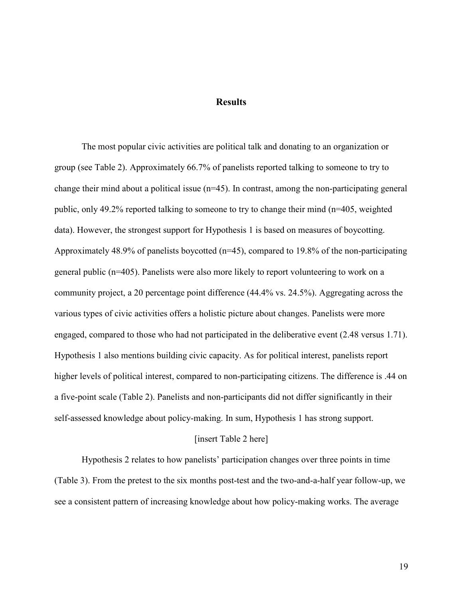## **Results**

The most popular civic activities are political talk and donating to an organization or group (see Table 2). Approximately 66.7% of panelists reported talking to someone to try to change their mind about a political issue (n=45). In contrast, among the non-participating general public, only 49.2% reported talking to someone to try to change their mind (n=405, weighted data). However, the strongest support for Hypothesis 1 is based on measures of boycotting. Approximately 48.9% of panelists boycotted (n=45), compared to 19.8% of the non-participating general public (n=405). Panelists were also more likely to report volunteering to work on a community project, a 20 percentage point difference (44.4% vs. 24.5%). Aggregating across the various types of civic activities offers a holistic picture about changes. Panelists were more engaged, compared to those who had not participated in the deliberative event (2.48 versus 1.71). Hypothesis 1 also mentions building civic capacity. As for political interest, panelists report higher levels of political interest, compared to non-participating citizens. The difference is .44 on a five-point scale (Table 2). Panelists and non-participants did not differ significantly in their self-assessed knowledge about policy-making. In sum, Hypothesis 1 has strong support.

## [insert Table 2 here]

Hypothesis 2 relates to how panelists' participation changes over three points in time (Table 3). From the pretest to the six months post-test and the two-and-a-half year follow-up, we see a consistent pattern of increasing knowledge about how policy-making works. The average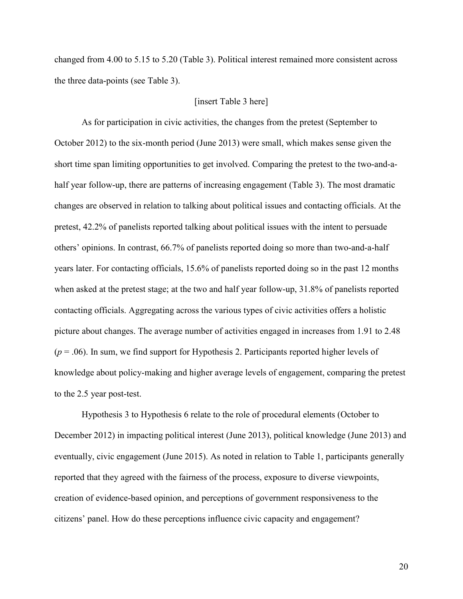changed from 4.00 to 5.15 to 5.20 (Table 3). Political interest remained more consistent across the three data-points (see Table 3).

## [insert Table 3 here]

As for participation in civic activities, the changes from the pretest (September to October 2012) to the six-month period (June 2013) were small, which makes sense given the short time span limiting opportunities to get involved. Comparing the pretest to the two-and-ahalf year follow-up, there are patterns of increasing engagement (Table 3). The most dramatic changes are observed in relation to talking about political issues and contacting officials. At the pretest, 42.2% of panelists reported talking about political issues with the intent to persuade others' opinions. In contrast, 66.7% of panelists reported doing so more than two-and-a-half years later. For contacting officials, 15.6% of panelists reported doing so in the past 12 months when asked at the pretest stage; at the two and half year follow-up, 31.8% of panelists reported contacting officials. Aggregating across the various types of civic activities offers a holistic picture about changes. The average number of activities engaged in increases from 1.91 to 2.48 (*p* = .06). In sum, we find support for Hypothesis 2. Participants reported higher levels of knowledge about policy-making and higher average levels of engagement, comparing the pretest to the 2.5 year post-test.

Hypothesis 3 to Hypothesis 6 relate to the role of procedural elements (October to December 2012) in impacting political interest (June 2013), political knowledge (June 2013) and eventually, civic engagement (June 2015). As noted in relation to Table 1, participants generally reported that they agreed with the fairness of the process, exposure to diverse viewpoints, creation of evidence-based opinion, and perceptions of government responsiveness to the citizens' panel. How do these perceptions influence civic capacity and engagement?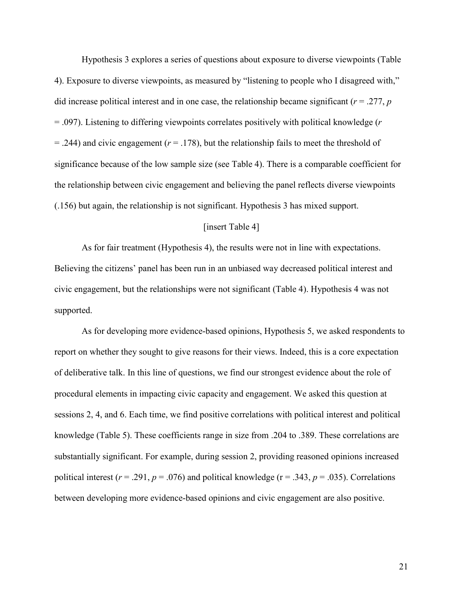Hypothesis 3 explores a series of questions about exposure to diverse viewpoints (Table 4). Exposure to diverse viewpoints, as measured by "listening to people who I disagreed with," did increase political interest and in one case, the relationship became significant ( $r = .277$ ,  $p$ ) = .097). Listening to differing viewpoints correlates positively with political knowledge (*r*  $=$  .244) and civic engagement ( $r = 0.178$ ), but the relationship fails to meet the threshold of significance because of the low sample size (see Table 4). There is a comparable coefficient for the relationship between civic engagement and believing the panel reflects diverse viewpoints (.156) but again, the relationship is not significant. Hypothesis 3 has mixed support.

## [insert Table 4]

As for fair treatment (Hypothesis 4), the results were not in line with expectations. Believing the citizens' panel has been run in an unbiased way decreased political interest and civic engagement, but the relationships were not significant (Table 4). Hypothesis 4 was not supported.

As for developing more evidence-based opinions, Hypothesis 5, we asked respondents to report on whether they sought to give reasons for their views. Indeed, this is a core expectation of deliberative talk. In this line of questions, we find our strongest evidence about the role of procedural elements in impacting civic capacity and engagement. We asked this question at sessions 2, 4, and 6. Each time, we find positive correlations with political interest and political knowledge (Table 5). These coefficients range in size from .204 to .389. These correlations are substantially significant. For example, during session 2, providing reasoned opinions increased political interest ( $r = .291$ ,  $p = .076$ ) and political knowledge ( $r = .343$ ,  $p = .035$ ). Correlations between developing more evidence-based opinions and civic engagement are also positive.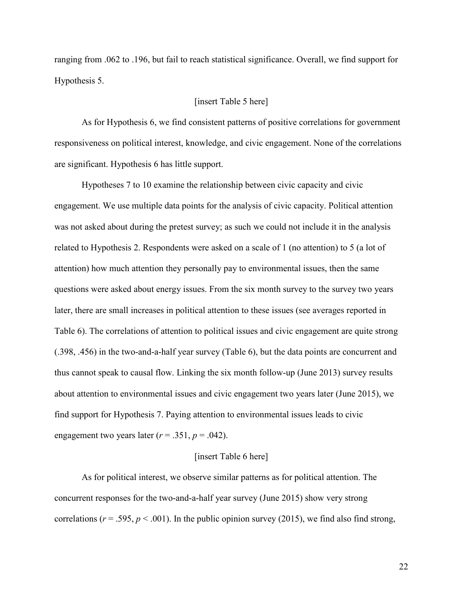ranging from .062 to .196, but fail to reach statistical significance. Overall, we find support for Hypothesis 5.

## [insert Table 5 here]

As for Hypothesis 6, we find consistent patterns of positive correlations for government responsiveness on political interest, knowledge, and civic engagement. None of the correlations are significant. Hypothesis 6 has little support.

Hypotheses 7 to 10 examine the relationship between civic capacity and civic engagement. We use multiple data points for the analysis of civic capacity. Political attention was not asked about during the pretest survey; as such we could not include it in the analysis related to Hypothesis 2. Respondents were asked on a scale of 1 (no attention) to 5 (a lot of attention) how much attention they personally pay to environmental issues, then the same questions were asked about energy issues. From the six month survey to the survey two years later, there are small increases in political attention to these issues (see averages reported in Table 6). The correlations of attention to political issues and civic engagement are quite strong (.398, .456) in the two-and-a-half year survey (Table 6), but the data points are concurrent and thus cannot speak to causal flow. Linking the six month follow-up (June 2013) survey results about attention to environmental issues and civic engagement two years later (June 2015), we find support for Hypothesis 7. Paying attention to environmental issues leads to civic engagement two years later  $(r = .351, p = .042)$ .

## [insert Table 6 here]

As for political interest, we observe similar patterns as for political attention. The concurrent responses for the two-and-a-half year survey (June 2015) show very strong correlations ( $r = .595$ ,  $p < .001$ ). In the public opinion survey (2015), we find also find strong,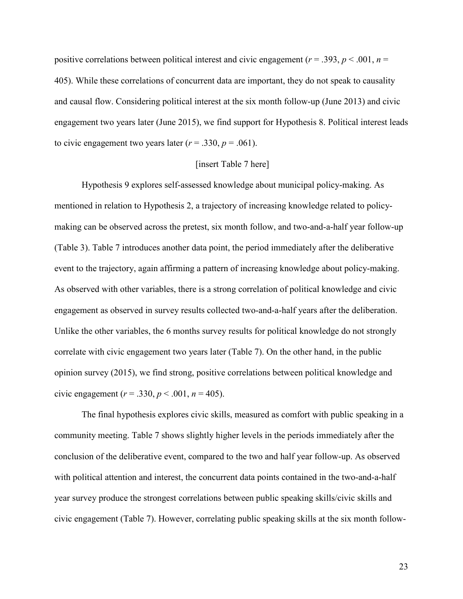positive correlations between political interest and civic engagement ( $r = .393$ ,  $p < .001$ ,  $n =$ 405). While these correlations of concurrent data are important, they do not speak to causality and causal flow. Considering political interest at the six month follow-up (June 2013) and civic engagement two years later (June 2015), we find support for Hypothesis 8. Political interest leads to civic engagement two years later  $(r = .330, p = .061)$ .

## [insert Table 7 here]

Hypothesis 9 explores self-assessed knowledge about municipal policy-making. As mentioned in relation to Hypothesis 2, a trajectory of increasing knowledge related to policymaking can be observed across the pretest, six month follow, and two-and-a-half year follow-up (Table 3). Table 7 introduces another data point, the period immediately after the deliberative event to the trajectory, again affirming a pattern of increasing knowledge about policy-making. As observed with other variables, there is a strong correlation of political knowledge and civic engagement as observed in survey results collected two-and-a-half years after the deliberation. Unlike the other variables, the 6 months survey results for political knowledge do not strongly correlate with civic engagement two years later (Table 7). On the other hand, in the public opinion survey (2015), we find strong, positive correlations between political knowledge and civic engagement ( $r = .330$ ,  $p < .001$ ,  $n = 405$ ).

The final hypothesis explores civic skills, measured as comfort with public speaking in a community meeting. Table 7 shows slightly higher levels in the periods immediately after the conclusion of the deliberative event, compared to the two and half year follow-up. As observed with political attention and interest, the concurrent data points contained in the two-and-a-half year survey produce the strongest correlations between public speaking skills/civic skills and civic engagement (Table 7). However, correlating public speaking skills at the six month follow-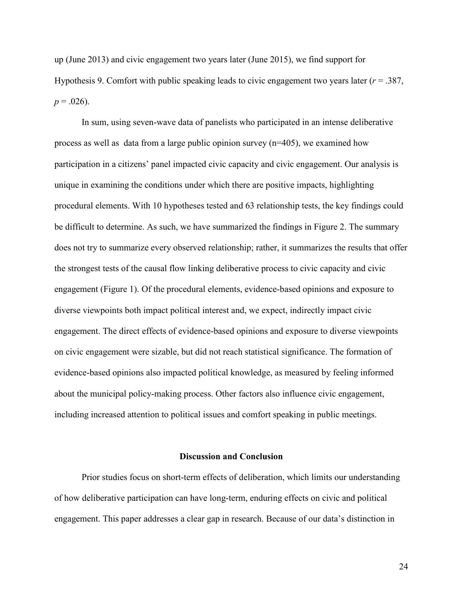up (June 2013) and civic engagement two years later (June 2015), we find support for Hypothesis 9. Comfort with public speaking leads to civic engagement two years later (*r* = .387,  $p = .026$ ).

In sum, using seven-wave data of panelists who participated in an intense deliberative process as well as data from a large public opinion survey (n=405), we examined how participation in a citizens' panel impacted civic capacity and civic engagement. Our analysis is unique in examining the conditions under which there are positive impacts, highlighting procedural elements. With 10 hypotheses tested and 63 relationship tests, the key findings could be difficult to determine. As such, we have summarized the findings in Figure 2. The summary does not try to summarize every observed relationship; rather, it summarizes the results that offer the strongest tests of the causal flow linking deliberative process to civic capacity and civic engagement (Figure 1). Of the procedural elements, evidence-based opinions and exposure to diverse viewpoints both impact political interest and, we expect, indirectly impact civic engagement. The direct effects of evidence-based opinions and exposure to diverse viewpoints on civic engagement were sizable, but did not reach statistical significance. The formation of evidence-based opinions also impacted political knowledge, as measured by feeling informed about the municipal policy-making process. Other factors also influence civic engagement, including increased attention to political issues and comfort speaking in public meetings.

#### **Discussion and Conclusion**

Prior studies focus on short-term effects of deliberation, which limits our understanding of how deliberative participation can have long-term, enduring effects on civic and political engagement. This paper addresses a clear gap in research. Because of our data's distinction in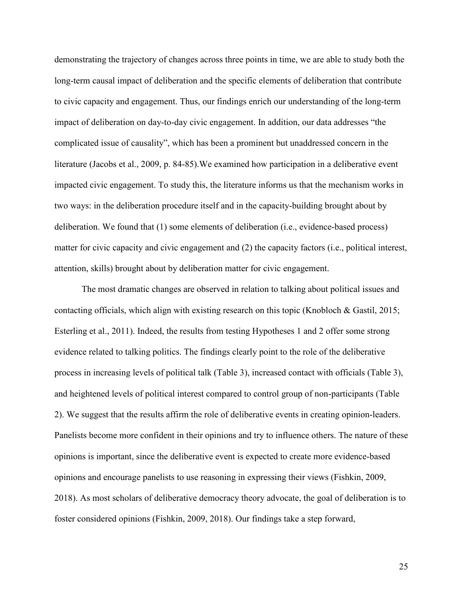demonstrating the trajectory of changes across three points in time, we are able to study both the long-term causal impact of deliberation and the specific elements of deliberation that contribute to civic capacity and engagement. Thus, our findings enrich our understanding of the long-term impact of deliberation on day-to-day civic engagement. In addition, our data addresses "the complicated issue of causality", which has been a prominent but unaddressed concern in the literature (Jacobs et al., 2009, p. 84-85).We examined how participation in a deliberative event impacted civic engagement. To study this, the literature informs us that the mechanism works in two ways: in the deliberation procedure itself and in the capacity-building brought about by deliberation. We found that (1) some elements of deliberation (i.e., evidence-based process) matter for civic capacity and civic engagement and (2) the capacity factors (i.e., political interest, attention, skills) brought about by deliberation matter for civic engagement.

The most dramatic changes are observed in relation to talking about political issues and contacting officials, which align with existing research on this topic (Knobloch & Gastil, 2015; Esterling et al., 2011). Indeed, the results from testing Hypotheses 1 and 2 offer some strong evidence related to talking politics. The findings clearly point to the role of the deliberative process in increasing levels of political talk (Table 3), increased contact with officials (Table 3), and heightened levels of political interest compared to control group of non-participants (Table 2). We suggest that the results affirm the role of deliberative events in creating opinion-leaders. Panelists become more confident in their opinions and try to influence others. The nature of these opinions is important, since the deliberative event is expected to create more evidence-based opinions and encourage panelists to use reasoning in expressing their views (Fishkin, 2009, 2018). As most scholars of deliberative democracy theory advocate, the goal of deliberation is to foster considered opinions (Fishkin, 2009, 2018). Our findings take a step forward,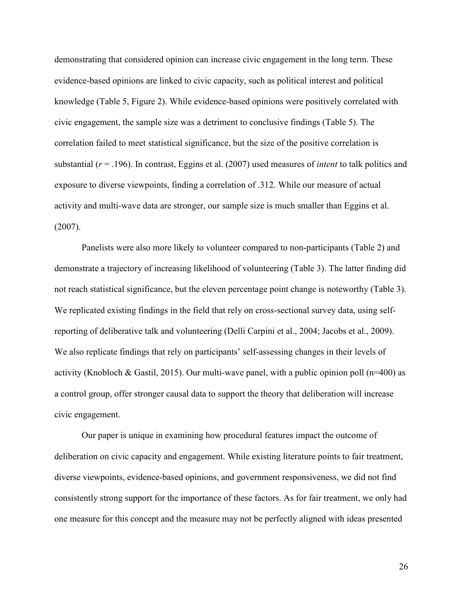demonstrating that considered opinion can increase civic engagement in the long term. These evidence-based opinions are linked to civic capacity, such as political interest and political knowledge (Table 5, Figure 2). While evidence-based opinions were positively correlated with civic engagement, the sample size was a detriment to conclusive findings (Table 5). The correlation failed to meet statistical significance, but the size of the positive correlation is substantial (*r* = .196). In contrast, Eggins et al. (2007) used measures of *intent* to talk politics and exposure to diverse viewpoints, finding a correlation of .312. While our measure of actual activity and multi-wave data are stronger, our sample size is much smaller than Eggins et al. (2007).

Panelists were also more likely to volunteer compared to non-participants (Table 2) and demonstrate a trajectory of increasing likelihood of volunteering (Table 3). The latter finding did not reach statistical significance, but the eleven percentage point change is noteworthy (Table 3). We replicated existing findings in the field that rely on cross-sectional survey data, using selfreporting of deliberative talk and volunteering (Delli Carpini et al., 2004; Jacobs et al., 2009). We also replicate findings that rely on participants' self-assessing changes in their levels of activity (Knobloch & Gastil, 2015). Our multi-wave panel, with a public opinion poll (n=400) as a control group, offer stronger causal data to support the theory that deliberation will increase civic engagement.

Our paper is unique in examining how procedural features impact the outcome of deliberation on civic capacity and engagement. While existing literature points to fair treatment, diverse viewpoints, evidence-based opinions, and government responsiveness, we did not find consistently strong support for the importance of these factors. As for fair treatment, we only had one measure for this concept and the measure may not be perfectly aligned with ideas presented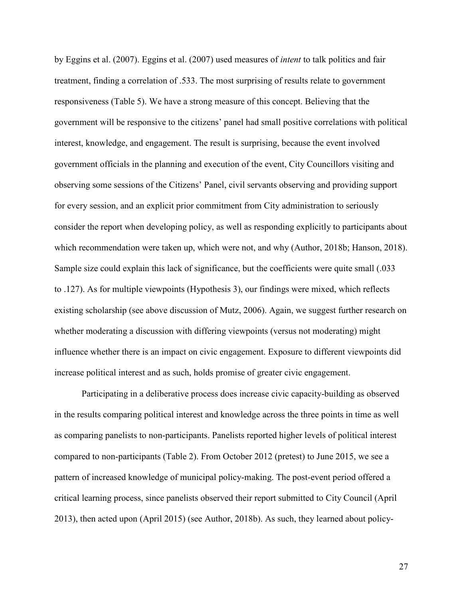by Eggins et al. (2007). Eggins et al. (2007) used measures of *intent* to talk politics and fair treatment, finding a correlation of .533. The most surprising of results relate to government responsiveness (Table 5). We have a strong measure of this concept. Believing that the government will be responsive to the citizens' panel had small positive correlations with political interest, knowledge, and engagement. The result is surprising, because the event involved government officials in the planning and execution of the event, City Councillors visiting and observing some sessions of the Citizens' Panel, civil servants observing and providing support for every session, and an explicit prior commitment from City administration to seriously consider the report when developing policy, as well as responding explicitly to participants about which recommendation were taken up, which were not, and why (Author, 2018b; Hanson, 2018). Sample size could explain this lack of significance, but the coefficients were quite small (.033 to .127). As for multiple viewpoints (Hypothesis 3), our findings were mixed, which reflects existing scholarship (see above discussion of Mutz, 2006). Again, we suggest further research on whether moderating a discussion with differing viewpoints (versus not moderating) might influence whether there is an impact on civic engagement. Exposure to different viewpoints did increase political interest and as such, holds promise of greater civic engagement.

Participating in a deliberative process does increase civic capacity-building as observed in the results comparing political interest and knowledge across the three points in time as well as comparing panelists to non-participants. Panelists reported higher levels of political interest compared to non-participants (Table 2). From October 2012 (pretest) to June 2015, we see a pattern of increased knowledge of municipal policy-making. The post-event period offered a critical learning process, since panelists observed their report submitted to City Council (April 2013), then acted upon (April 2015) (see Author, 2018b). As such, they learned about policy-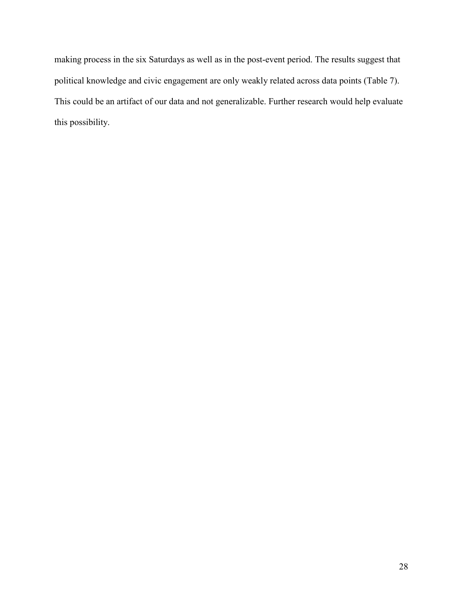making process in the six Saturdays as well as in the post-event period. The results suggest that political knowledge and civic engagement are only weakly related across data points (Table 7). This could be an artifact of our data and not generalizable. Further research would help evaluate this possibility.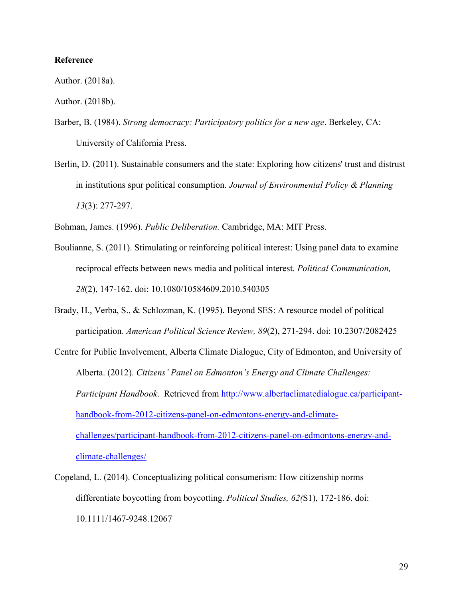## **Reference**

Author. (2018a).

Author. (2018b).

- Barber, B. (1984). *Strong democracy: Participatory politics for a new age*. Berkeley, CA: University of California Press.
- Berlin, D. (2011). Sustainable consumers and the state: Exploring how citizens' trust and distrust in institutions spur political consumption. *Journal of Environmental Policy & Planning 13*(3): 277-297.

Bohman, James. (1996). *Public Deliberation.* Cambridge, MA: MIT Press.

- Boulianne, S. (2011). Stimulating or reinforcing political interest: Using panel data to examine reciprocal effects between news media and political interest. *Political Communication, 28*(2), 147-162. doi: 10.1080/10584609.2010.540305
- Brady, H., Verba, S., & Schlozman, K. (1995). Beyond SES: A resource model of political participation. *American Political Science Review, 89*(2), 271-294. doi: 10.2307/2082425
- Centre for Public Involvement, Alberta Climate Dialogue, City of Edmonton, and University of Alberta. (2012). *Citizens' Panel on Edmonton's Energy and Climate Challenges: Participant Handbook*. Retrieved from http://www.albertaclimatedialogue.ca/participanthandbook-from-2012-citizens-panel-on-edmontons-energy-and-climatechallenges/participant-handbook-from-2012-citizens-panel-on-edmontons-energy-andclimate-challenges/
- Copeland, L. (2014). Conceptualizing political consumerism: How citizenship norms differentiate boycotting from boycotting. *Political Studies, 62(*S1), 172-186. doi: 10.1111/1467-9248.12067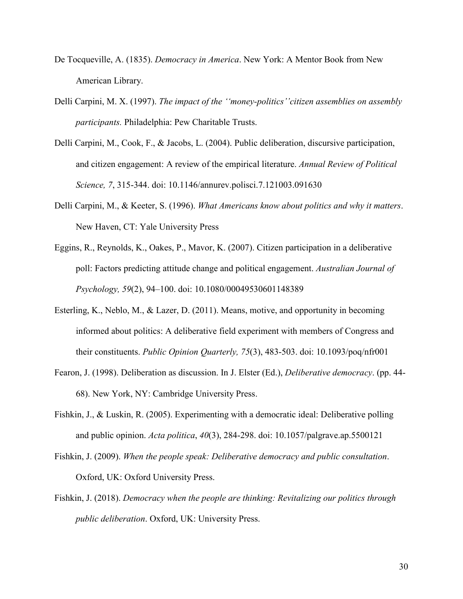- De Tocqueville, A. (1835). *Democracy in America*. New York: A Mentor Book from New American Library.
- Delli Carpini, M. X. (1997). *The impact of the ''money-politics''citizen assemblies on assembly participants.* Philadelphia: Pew Charitable Trusts.
- Delli Carpini, M., Cook, F., & Jacobs, L. (2004). Public deliberation, discursive participation, and citizen engagement: A review of the empirical literature. *Annual Review of Political Science, 7*, 315-344. doi: 10.1146/annurev.polisci.7.121003.091630
- Delli Carpini, M., & Keeter, S. (1996). *What Americans know about politics and why it matters*. New Haven, CT: Yale University Press
- Eggins, R., Reynolds, K., Oakes, P., Mavor, K. (2007). Citizen participation in a deliberative poll: Factors predicting attitude change and political engagement. *Australian Journal of Psychology, 59*(2), 94–100. doi: 10.1080/00049530601148389
- Esterling, K., Neblo, M., & Lazer, D. (2011). Means, motive, and opportunity in becoming informed about politics: A deliberative field experiment with members of Congress and their constituents. *Public Opinion Quarterly, 75*(3), 483-503. doi: 10.1093/poq/nfr001
- Fearon, J. (1998). Deliberation as discussion. In J. Elster (Ed.), *Deliberative democracy*. (pp. 44- 68). New York, NY: Cambridge University Press.
- Fishkin, J., & Luskin, R. (2005). Experimenting with a democratic ideal: Deliberative polling and public opinion. *Acta politica*, *40*(3), 284-298. doi: 10.1057/palgrave.ap.5500121
- Fishkin, J. (2009). *When the people speak: Deliberative democracy and public consultation*. Oxford, UK: Oxford University Press.
- Fishkin, J. (2018). *Democracy when the people are thinking: Revitalizing our politics through public deliberation*. Oxford, UK: University Press.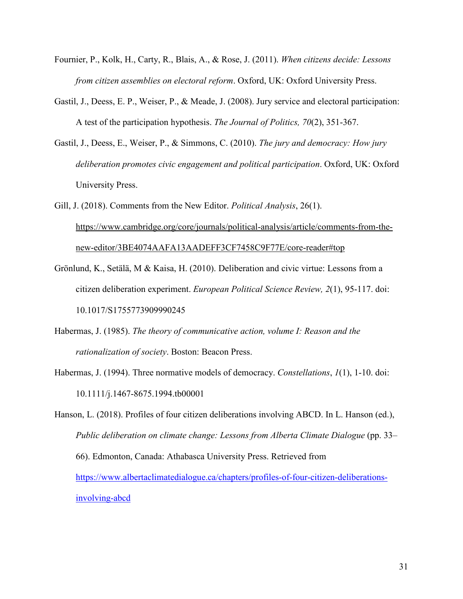- Fournier, P., Kolk, H., Carty, R., Blais, A., & Rose, J. (2011). *When citizens decide: Lessons from citizen assemblies on electoral reform*. Oxford, UK: Oxford University Press.
- Gastil, J., Deess, E. P., Weiser, P., & Meade, J. (2008). Jury service and electoral participation: A test of the participation hypothesis. *The Journal of Politics, 70*(2), 351-367.
- Gastil, J., Deess, E., Weiser, P., & Simmons, C. (2010). *The jury and democracy: How jury deliberation promotes civic engagement and political participation*. Oxford, UK: Oxford University Press.
- Gill, J. (2018). Comments from the New Editor. *Political Analysis*, 26(1). https://www.cambridge.org/core/journals/political-analysis/article/comments-from-thenew-editor/3BE4074AAFA13AADEFF3CF7458C9F77E/core-reader#top
- Grönlund, K., Setälä, M & Kaisa, H. (2010). Deliberation and civic virtue: Lessons from a citizen deliberation experiment. *European Political Science Review, 2*(1), 95-117. doi: 10.1017/S1755773909990245
- Habermas, J. (1985). *The theory of communicative action, volume I: Reason and the rationalization of society*. Boston: Beacon Press.
- Habermas, J. (1994). Three normative models of democracy. *Constellations*, *1*(1), 1-10. doi: 10.1111/j.1467-8675.1994.tb00001

Hanson, L. (2018). Profiles of four citizen deliberations involving ABCD. In L. Hanson (ed.), *Public deliberation on climate change: Lessons from Alberta Climate Dialogue* (pp. 33– 66). Edmonton, Canada: Athabasca University Press. Retrieved from https://www.albertaclimatedialogue.ca/chapters/profiles-of-four-citizen-deliberationsinvolving-abcd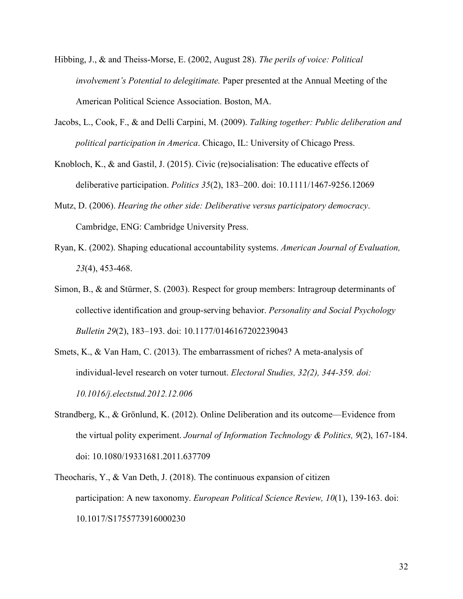- Hibbing, J., & and Theiss-Morse, E. (2002, August 28). *The perils of voice: Political involvement's Potential to delegitimate.* Paper presented at the Annual Meeting of the American Political Science Association. Boston, MA.
- Jacobs, L., Cook, F., & and Delli Carpini, M. (2009). *Talking together: Public deliberation and political participation in America*. Chicago, IL: University of Chicago Press.
- Knobloch, K., & and Gastil, J. (2015). Civic (re)socialisation: The educative effects of deliberative participation. *Politics 35*(2), 183–200. doi: 10.1111/1467-9256.12069
- Mutz, D. (2006). *Hearing the other side: Deliberative versus participatory democracy*. Cambridge, ENG: Cambridge University Press.
- Ryan, K. (2002). Shaping educational accountability systems. *American Journal of Evaluation, 23*(4), 453-468.
- Simon, B., & and Stürmer, S. (2003). Respect for group members: Intragroup determinants of collective identification and group-serving behavior. *Personality and Social Psychology Bulletin 29*(2), 183–193. doi: 10.1177/0146167202239043
- Smets, K., & Van Ham, C. (2013). The embarrassment of riches? A meta-analysis of individual-level research on voter turnout. *Electoral Studies, 32(2), 344-359. doi: 10.1016/j.electstud.2012.12.006*
- Strandberg, K., & Grönlund, K. (2012). Online Deliberation and its outcome—Evidence from the virtual polity experiment. *Journal of Information Technology & Politics, 9*(2), 167-184. doi: 10.1080/19331681.2011.637709
- Theocharis, Y., & Van Deth, J. (2018). The continuous expansion of citizen participation: A new taxonomy. *European Political Science Review, 10*(1), 139-163. doi: 10.1017/S1755773916000230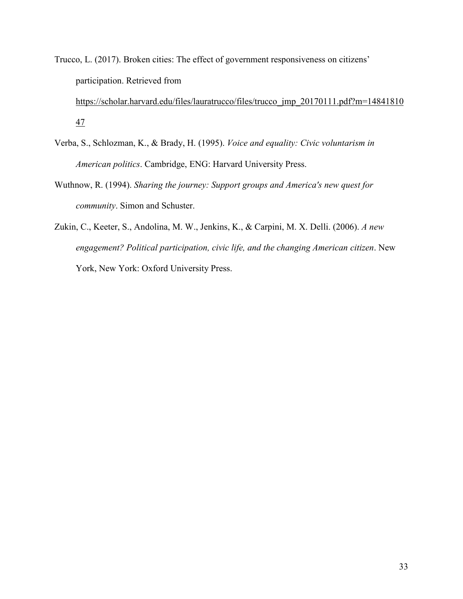Trucco, L. (2017). Broken cities: The effect of government responsiveness on citizens' participation. Retrieved from

https://scholar.harvard.edu/files/lauratrucco/files/trucco\_jmp\_20170111.pdf?m=14841810 47

- Verba, S., Schlozman, K., & Brady, H. (1995). *Voice and equality: Civic voluntarism in American politics*. Cambridge, ENG: Harvard University Press.
- Wuthnow, R. (1994). *Sharing the journey: Support groups and America's new quest for community*. Simon and Schuster.
- Zukin, C., Keeter, S., Andolina, M. W., Jenkins, K., & Carpini, M. X. Delli. (2006). *A new engagement? Political participation, civic life, and the changing American citizen*. New York, New York: Oxford University Press.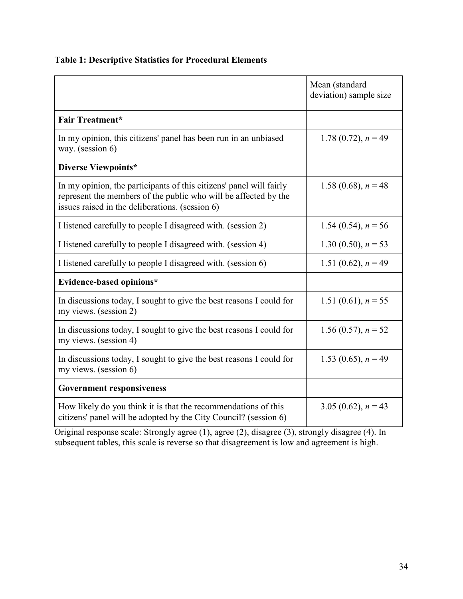# **Table 1: Descriptive Statistics for Procedural Elements**

|                                                                                                                                                                                           | Mean (standard<br>deviation) sample size |
|-------------------------------------------------------------------------------------------------------------------------------------------------------------------------------------------|------------------------------------------|
| <b>Fair Treatment*</b>                                                                                                                                                                    |                                          |
| In my opinion, this citizens' panel has been run in an unbiased<br>way. (session 6)                                                                                                       | 1.78 (0.72), $n = 49$                    |
| Diverse Viewpoints*                                                                                                                                                                       |                                          |
| In my opinion, the participants of this citizens' panel will fairly<br>represent the members of the public who will be affected by the<br>issues raised in the deliberations. (session 6) | 1.58 (0.68), $n = 48$                    |
| I listened carefully to people I disagreed with. (session 2)                                                                                                                              | 1.54 (0.54), $n = 56$                    |
| I listened carefully to people I disagreed with. (session 4)                                                                                                                              | 1.30 (0.50), $n = 53$                    |
| I listened carefully to people I disagreed with. (session 6)                                                                                                                              | 1.51 (0.62), $n = 49$                    |
| Evidence-based opinions*                                                                                                                                                                  |                                          |
| In discussions today, I sought to give the best reasons I could for<br>my views. (session 2)                                                                                              | 1.51 (0.61), $n = 55$                    |
| In discussions today, I sought to give the best reasons I could for<br>my views. (session 4)                                                                                              | 1.56 (0.57), $n = 52$                    |
| In discussions today, I sought to give the best reasons I could for<br>my views. (session 6)                                                                                              | 1.53 (0.65), $n = 49$                    |
| <b>Government responsiveness</b>                                                                                                                                                          |                                          |
| How likely do you think it is that the recommendations of this<br>citizens' panel will be adopted by the City Council? (session 6)                                                        | 3.05 (0.62), $n = 43$                    |

Original response scale: Strongly agree (1), agree (2), disagree (3), strongly disagree (4). In subsequent tables, this scale is reverse so that disagreement is low and agreement is high.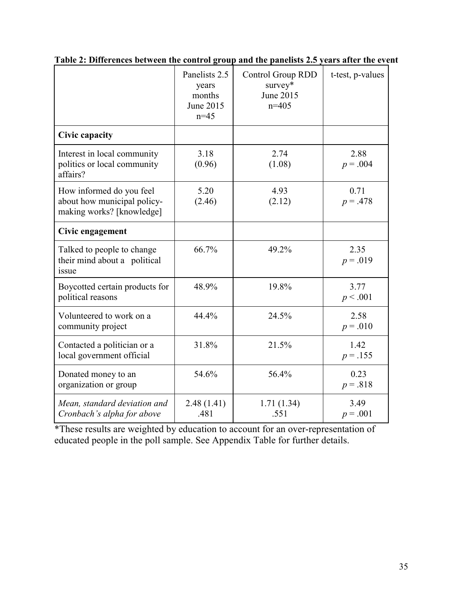|                                                                                      | Panelists 2.5<br><b>Control Group RDD</b><br>survey*<br>years<br>June 2015<br>months<br>June 2015<br>$n=405$<br>$n=45$ |                    | t-test, p-values   |
|--------------------------------------------------------------------------------------|------------------------------------------------------------------------------------------------------------------------|--------------------|--------------------|
| Civic capacity                                                                       |                                                                                                                        |                    |                    |
| Interest in local community<br>politics or local community<br>affairs?               | 3.18<br>(0.96)                                                                                                         | 2.74<br>(1.08)     | 2.88<br>$p = .004$ |
| How informed do you feel<br>about how municipal policy-<br>making works? [knowledge] | 5.20<br>(2.46)                                                                                                         | 4.93<br>(2.12)     | 0.71<br>$p = .478$ |
| Civic engagement                                                                     |                                                                                                                        |                    |                    |
| Talked to people to change<br>their mind about a political<br>issue                  | 66.7%                                                                                                                  | 49.2%              | 2.35<br>$p = .019$ |
| Boycotted certain products for<br>political reasons                                  | 48.9%                                                                                                                  | 19.8%              | 3.77<br>p < .001   |
| Volunteered to work on a<br>community project                                        | 44.4%                                                                                                                  | 24.5%              | 2.58<br>$p = .010$ |
| Contacted a politician or a<br>local government official                             | 31.8%                                                                                                                  | 21.5%              | 1.42<br>$p = .155$ |
| Donated money to an<br>organization or group                                         | 54.6%                                                                                                                  | 56.4%              | 0.23<br>$p = .818$ |
| Mean, standard deviation and<br>Cronbach's alpha for above                           | 2.48(1.41)<br>.481                                                                                                     | 1.71(1.34)<br>.551 | 3.49<br>$p = .001$ |

**Table 2: Differences between the control group and the panelists 2.5 years after the event** 

\*These results are weighted by education to account for an over-representation of educated people in the poll sample. See Appendix Table for further details.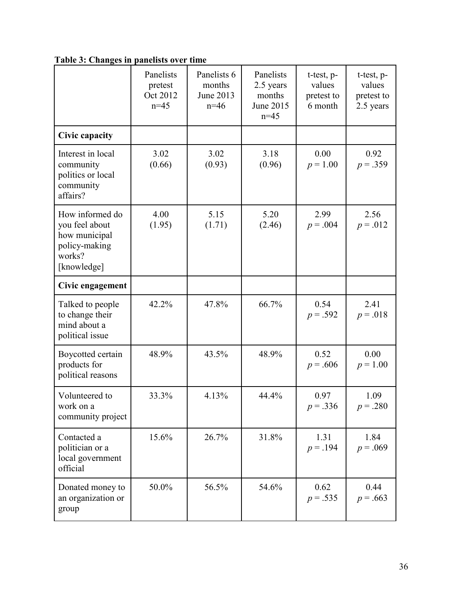|                                                                                              | Panelists<br>pretest<br>Oct 2012<br>$n=45$ | Panelists 6<br>months<br>June 2013<br>$n=46$ | Panelists<br>2.5 years<br>months<br>June 2015<br>$n=45$ | t-test, p-<br>values<br>pretest to<br>6 month | t-test, p-<br>values<br>pretest to<br>2.5 years |
|----------------------------------------------------------------------------------------------|--------------------------------------------|----------------------------------------------|---------------------------------------------------------|-----------------------------------------------|-------------------------------------------------|
| Civic capacity                                                                               |                                            |                                              |                                                         |                                               |                                                 |
| Interest in local<br>community<br>politics or local<br>community<br>affairs?                 | 3.02<br>(0.66)                             | 3.02<br>(0.93)                               | 3.18<br>(0.96)                                          | 0.00<br>$p = 1.00$                            | 0.92<br>$p = .359$                              |
| How informed do<br>you feel about<br>how municipal<br>policy-making<br>works?<br>[knowledge] | 4.00<br>(1.95)                             | 5.15<br>(1.71)                               | 5.20<br>(2.46)                                          | 2.99<br>$p = .004$                            | 2.56<br>$p = .012$                              |
| Civic engagement                                                                             |                                            |                                              |                                                         |                                               |                                                 |
| Talked to people<br>to change their<br>mind about a<br>political issue                       | 42.2%                                      | 47.8%                                        | 66.7%                                                   | 0.54<br>$p = .592$                            | 2.41<br>$p = .018$                              |
| Boycotted certain<br>products for<br>political reasons                                       | 48.9%                                      | 43.5%                                        | 48.9%                                                   | 0.52<br>$p = .606$                            | 0.00<br>$p = 1.00$                              |
| Volunteered to<br>work on a<br>community project                                             | 33.3%                                      | 4.13%                                        | 44.4%                                                   | 0.97<br>$p = .336$                            | 1.09<br>$p = .280$                              |
| Contacted a<br>politician or a<br>local government<br>official                               | 15.6%                                      | 26.7%                                        | 31.8%                                                   | 1.31<br>$p = .194$                            | 1.84<br>$p = .069$                              |
| Donated money to<br>an organization or<br>group                                              | 50.0%                                      | 56.5%                                        | 54.6%                                                   | 0.62<br>$p = .535$                            | 0.44<br>$p = .663$                              |

**Table 3: Changes in panelists over time**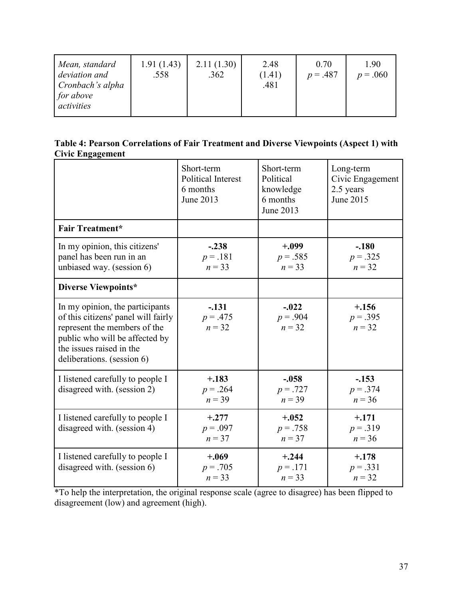| Mean, standard<br>deviation and<br>Cronbach's alpha<br>for above | 1.91(1.43)<br>.558 | 2.11(1.30)<br>.362 | 2.48<br>(1.41)<br>.481 | 0.70<br>$p = .487$ | 190<br>$p = .060$ |
|------------------------------------------------------------------|--------------------|--------------------|------------------------|--------------------|-------------------|
| activities                                                       |                    |                    |                        |                    |                   |

| Table 4: Pearson Correlations of Fair Treatment and Diverse Viewpoints (Aspect 1) with |  |  |
|----------------------------------------------------------------------------------------|--|--|
| Civic Engagement                                                                       |  |  |

|                                                                                                                                                                                                    | Short-term<br><b>Political Interest</b><br>6 months<br>June 2013 | Short-term<br>Political<br>knowledge<br>6 months<br>June 2013 | Long-term<br>Civic Engagement<br>2.5 years<br>June 2015 |
|----------------------------------------------------------------------------------------------------------------------------------------------------------------------------------------------------|------------------------------------------------------------------|---------------------------------------------------------------|---------------------------------------------------------|
| <b>Fair Treatment*</b>                                                                                                                                                                             |                                                                  |                                                               |                                                         |
| In my opinion, this citizens'<br>panel has been run in an<br>unbiased way. (session 6)                                                                                                             | $-.238$<br>$p = .181$<br>$n = 33$                                | $+.099$<br>$p = .585$<br>$n = 33$                             | $-.180$<br>$p = .325$<br>$n = 32$                       |
| Diverse Viewpoints*                                                                                                                                                                                |                                                                  |                                                               |                                                         |
| In my opinion, the participants<br>of this citizens' panel will fairly<br>represent the members of the<br>public who will be affected by<br>the issues raised in the<br>deliberations. (session 6) | $-.131$<br>$p = .475$<br>$n = 32$                                | $-.022$<br>$p = .904$<br>$n = 32$                             | $+.156$<br>$p = .395$<br>$n = 32$                       |
| I listened carefully to people I<br>disagreed with. (session 2)                                                                                                                                    | $+.183$<br>$p = .264$<br>$n = 39$                                | $-.058$<br>$p = .727$<br>$n = 39$                             | $-.153$<br>$p = .374$<br>$n = 36$                       |
| I listened carefully to people I<br>disagreed with. (session 4)                                                                                                                                    | $+.277$<br>$p = .097$<br>$n = 37$                                | $+.052$<br>$p = .758$<br>$n = 37$                             | $+.171$<br>$p = .319$<br>$n = 36$                       |
| I listened carefully to people I<br>disagreed with. (session 6)                                                                                                                                    | $+.069$<br>$p = .705$<br>$n = 33$                                | $+.244$<br>$p = .171$<br>$n = 33$                             | $+.178$<br>$p = .331$<br>$n = 32$                       |

\*To help the interpretation, the original response scale (agree to disagree) has been flipped to disagreement (low) and agreement (high).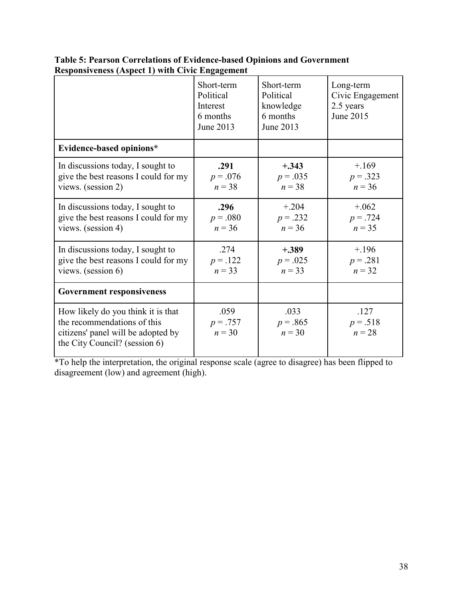|                                                                                                                                          | Short-term<br>Political<br>Interest<br>6 months<br>June 2013 | Short-term<br>Political<br>knowledge<br>6 months<br>June 2013 | Long-term<br>Civic Engagement<br>2.5 years<br>June 2015 |
|------------------------------------------------------------------------------------------------------------------------------------------|--------------------------------------------------------------|---------------------------------------------------------------|---------------------------------------------------------|
| Evidence-based opinions*                                                                                                                 |                                                              |                                                               |                                                         |
| In discussions today, I sought to<br>give the best reasons I could for my<br>views. (session 2)                                          | .291<br>$p = .076$<br>$n = 38$                               | $+.343$<br>$p = .035$<br>$n = 38$                             | $+169$<br>$p = .323$<br>$n = 36$                        |
| In discussions today, I sought to<br>give the best reasons I could for my<br>views. (session 4)                                          | .296<br>$p = .080$<br>$n = 36$                               | $+.204$<br>$p = .232$<br>$n = 36$                             | $+.062$<br>$p = .724$<br>$n = 35$                       |
| In discussions today, I sought to<br>give the best reasons I could for my<br>views. (session $6$ )                                       | .274<br>$p = .122$<br>$n = 33$                               | $+.389$<br>$p = .025$<br>$n = 33$                             | $+196$<br>$p = .281$<br>$n = 32$                        |
| <b>Government responsiveness</b>                                                                                                         |                                                              |                                                               |                                                         |
| How likely do you think it is that<br>the recommendations of this<br>citizens' panel will be adopted by<br>the City Council? (session 6) | .059<br>$p = .757$<br>$n = 30$                               | .033<br>$p = .865$<br>$n = 30$                                | .127<br>$p = .518$<br>$n = 28$                          |

**Table 5: Pearson Correlations of Evidence-based Opinions and Government Responsiveness (Aspect 1) with Civic Engagement** 

\*To help the interpretation, the original response scale (agree to disagree) has been flipped to disagreement (low) and agreement (high).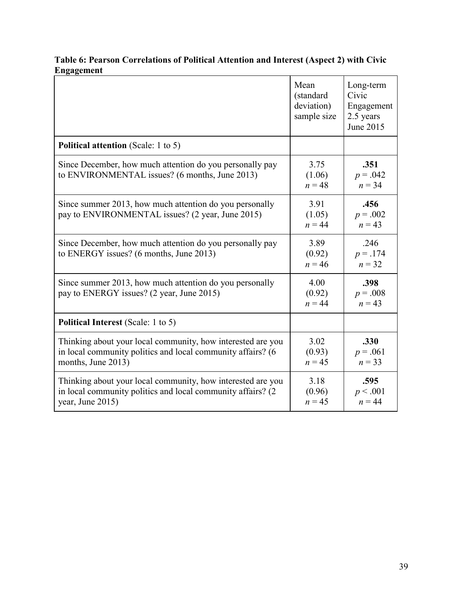# **Table 6: Pearson Correlations of Political Attention and Interest (Aspect 2) with Civic Engagement**

|                                                                                                                                                   | Mean<br>(standard<br>deviation)<br>sample size | Long-term<br>Civic<br>Engagement<br>2.5 years<br>June 2015 |
|---------------------------------------------------------------------------------------------------------------------------------------------------|------------------------------------------------|------------------------------------------------------------|
| <b>Political attention</b> (Scale: 1 to 5)                                                                                                        |                                                |                                                            |
| Since December, how much attention do you personally pay<br>to ENVIRONMENTAL issues? (6 months, June 2013)                                        | 3.75<br>(1.06)<br>$n = 48$                     | .351<br>$p = .042$<br>$n = 34$                             |
| Since summer 2013, how much attention do you personally<br>pay to ENVIRONMENTAL issues? (2 year, June 2015)                                       | 3.91<br>(1.05)<br>$n = 44$                     | .456<br>$p = .002$<br>$n = 43$                             |
| Since December, how much attention do you personally pay<br>to ENERGY issues? (6 months, June 2013)                                               | 3.89<br>(0.92)<br>$n = 46$                     | .246<br>$p = .174$<br>$n = 32$                             |
| Since summer 2013, how much attention do you personally<br>pay to ENERGY issues? (2 year, June 2015)                                              | 4.00<br>(0.92)<br>$n = 44$                     | .398<br>$p = .008$<br>$n = 43$                             |
| <b>Political Interest</b> (Scale: 1 to 5)                                                                                                         |                                                |                                                            |
| Thinking about your local community, how interested are you<br>in local community politics and local community affairs? (6)<br>months, June 2013) | 3.02<br>(0.93)<br>$n = 45$                     | .330<br>$p = .061$<br>$n = 33$                             |
| Thinking about your local community, how interested are you<br>in local community politics and local community affairs? (2)<br>year, June 2015)   | 3.18<br>(0.96)<br>$n = 45$                     | .595<br>p < .001<br>$n = 44$                               |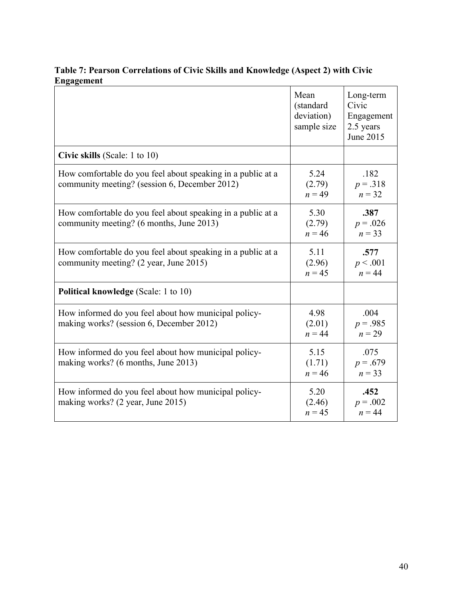|                                                                                                              | Mean<br>(standard<br>deviation)<br>sample size | Long-term<br>Civic<br>Engagement<br>2.5 years<br>June 2015 |
|--------------------------------------------------------------------------------------------------------------|------------------------------------------------|------------------------------------------------------------|
| Civic skills (Scale: 1 to 10)                                                                                |                                                |                                                            |
| How comfortable do you feel about speaking in a public at a<br>community meeting? (session 6, December 2012) | 5.24<br>(2.79)<br>$n = 49$                     | .182<br>$p = .318$<br>$n = 32$                             |
| How comfortable do you feel about speaking in a public at a<br>community meeting? (6 months, June 2013)      | 5.30<br>(2.79)<br>$n = 46$                     | .387<br>$p = .026$<br>$n = 33$                             |
| How comfortable do you feel about speaking in a public at a<br>community meeting? (2 year, June 2015)        | 5.11<br>(2.96)<br>$n = 45$                     | .577<br>p < .001<br>$n = 44$                               |
| <b>Political knowledge (Scale: 1 to 10)</b>                                                                  |                                                |                                                            |
| How informed do you feel about how municipal policy-<br>making works? (session 6, December 2012)             | 4.98<br>(2.01)<br>$n = 44$                     | .004<br>$p = .985$<br>$n = 29$                             |
| How informed do you feel about how municipal policy-<br>making works? (6 months, June 2013)                  | 5.15<br>(1.71)<br>$n = 46$                     | .075<br>$p = .679$<br>$n = 33$                             |
| How informed do you feel about how municipal policy-<br>making works? (2 year, June 2015)                    | 5.20<br>(2.46)<br>$n = 45$                     | .452<br>$p = .002$<br>$n = 44$                             |

# **Table 7: Pearson Correlations of Civic Skills and Knowledge (Aspect 2) with Civic Engagement**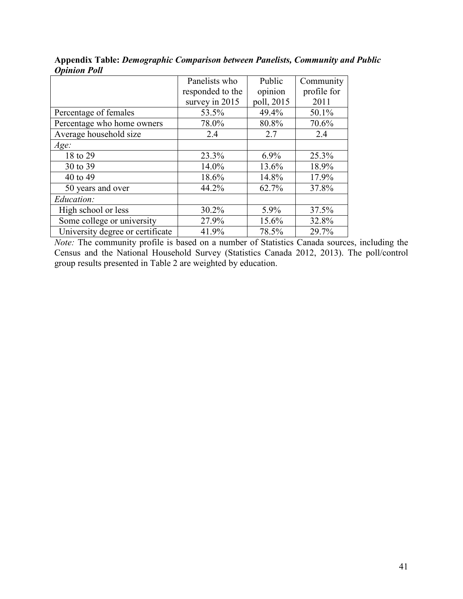|                                  | Panelists who    | Public     | Community   |
|----------------------------------|------------------|------------|-------------|
|                                  | responded to the | opinion    | profile for |
|                                  | survey in 2015   | poll, 2015 | 2011        |
| Percentage of females            | 53.5%            | 49.4%      | 50.1%       |
| Percentage who home owners       | 78.0%            | 80.8%      | 70.6%       |
| Average household size           | 2.4              | 2.7        | 2.4         |
| Age:                             |                  |            |             |
| 18 to 29                         | 23.3%            | 6.9%       | 25.3%       |
| 30 to 39                         | 14.0%            | 13.6%      | 18.9%       |
| 40 to 49                         | 18.6%            | 14.8%      | 17.9%       |
| 50 years and over                | 44.2%            | 62.7%      | 37.8%       |
| Education:                       |                  |            |             |
| High school or less              | 30.2%            | 5.9%       | 37.5%       |
| Some college or university       | 27.9%            | 15.6%      | 32.8%       |
| University degree or certificate | 41.9%            | 78.5%      | 29.7%       |

**Appendix Table:** *Demographic Comparison between Panelists, Community and Public Opinion Poll*

*Note:* The community profile is based on a number of Statistics Canada sources, including the Census and the National Household Survey (Statistics Canada 2012, 2013). The poll/control group results presented in Table 2 are weighted by education.